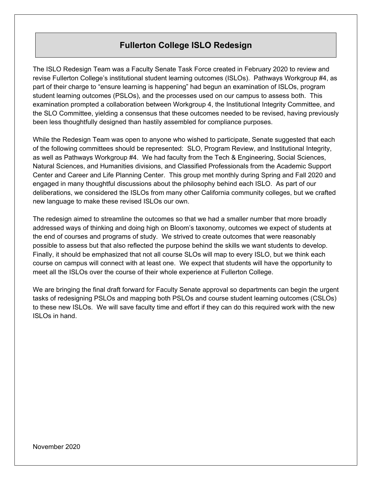## **Fullerton College ISLO Redesign**

The ISLO Redesign Team was a Faculty Senate Task Force created in February 2020 to review and revise Fullerton College's institutional student learning outcomes (ISLOs). Pathways Workgroup #4, as part of their charge to "ensure learning is happening" had begun an examination of ISLOs, program student learning outcomes (PSLOs), and the processes used on our campus to assess both. This examination prompted a collaboration between Workgroup 4, the Institutional Integrity Committee, and the SLO Committee, yielding a consensus that these outcomes needed to be revised, having previously been less thoughtfully designed than hastily assembled for compliance purposes.

While the Redesign Team was open to anyone who wished to participate, Senate suggested that each of the following committees should be represented: SLO, Program Review, and Institutional Integrity, as well as Pathways Workgroup #4. We had faculty from the Tech & Engineering, Social Sciences, Natural Sciences, and Humanities divisions, and Classified Professionals from the Academic Support Center and Career and Life Planning Center. This group met monthly during Spring and Fall 2020 and engaged in many thoughtful discussions about the philosophy behind each ISLO. As part of our deliberations, we considered the ISLOs from many other California community colleges, but we crafted new language to make these revised ISLOs our own.

The redesign aimed to streamline the outcomes so that we had a smaller number that more broadly addressed ways of thinking and doing high on Bloom's taxonomy, outcomes we expect of students at the end of courses and programs of study. We strived to create outcomes that were reasonably possible to assess but that also reflected the purpose behind the skills we want students to develop. Finally, it should be emphasized that not all course SLOs will map to every ISLO, but we think each course on campus will connect with at least one. We expect that students will have the opportunity to meet all the ISLOs over the course of their whole experience at Fullerton College.

We are bringing the final draft forward for Faculty Senate approval so departments can begin the urgent tasks of redesigning PSLOs and mapping both PSLOs and course student learning outcomes (CSLOs) to these new ISLOs. We will save faculty time and effort if they can do this required work with the new ISLOs in hand.

November 2020